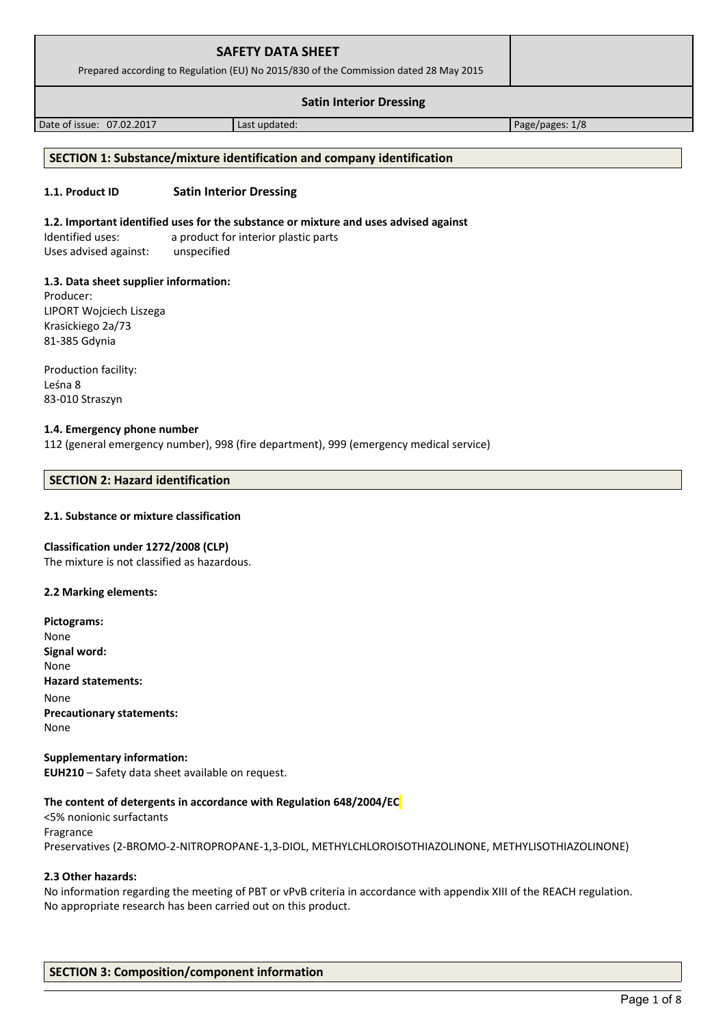| <b>SAFETY DATA SHEET</b><br>Prepared according to Regulation (EU) No 2015/830 of the Commission dated 28 May 2015 |                 |  |
|-------------------------------------------------------------------------------------------------------------------|-----------------|--|
| <b>Satin Interior Dressing</b>                                                                                    |                 |  |
| Last updated:                                                                                                     | Page/pages: 1/8 |  |
|                                                                                                                   |                 |  |

## **SECTION 1: Substance/mixture identification and company identification**

### **1.1. Product ID Satin Interior Dressing**

#### **1.2. Important identified uses for the substance or mixture and uses advised against**

Identified uses: a product for interior plastic parts Uses advised against: unspecified

#### **1.3. Data sheet supplier information:**

Producer: LIPORT Wojciech Liszega Krasickiego 2a/73 81-385 Gdynia

Production facility: Leśna 8 83-010 Straszyn

#### **1.4. Emergency phone number**

112 (general emergency number), 998 (fire department), 999 (emergency medical service)

## **SECTION 2: Hazard identification**

### **2.1. Substance or mixture classification**

#### **Classification under 1272/2008 (CLP)**

The mixture is not classified as hazardous.

### **2.2 Marking elements:**

**Pictograms:** None **Signal word:**  None **Hazard statements:** None **Precautionary statements:** None

**Supplementary information: EUH210** – Safety data sheet available on request.

#### **The content of detergents in accordance with Regulation 648/2004/EC**

<5% nonionic surfactants Fragrance Preservatives (2-BROMO-2-NITROPROPANE-1,3-DIOL, METHYLCHLOROISOTHIAZOLINONE, METHYLISOTHIAZOLINONE)

### **2.3 Other hazards:**

No information regarding the meeting of PBT or vPvB criteria in accordance with appendix XIII of the REACH regulation. No appropriate research has been carried out on this product.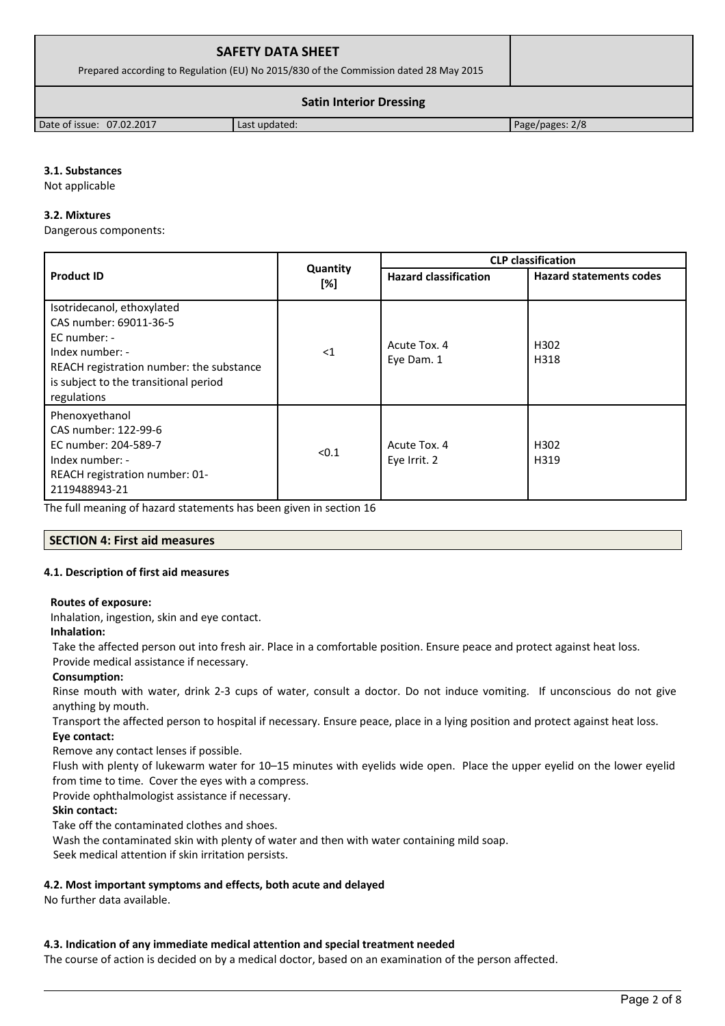| <b>SAFETY DATA SHEET</b><br>Prepared according to Regulation (EU) No 2015/830 of the Commission dated 28 May 2015 |               |                 |
|-------------------------------------------------------------------------------------------------------------------|---------------|-----------------|
| <b>Satin Interior Dressing</b>                                                                                    |               |                 |
| Date of issue: 07.02.2017                                                                                         | Last updated: | Page/pages: 2/8 |

## **3.1. Substances**

Not applicable

### **3.2. Mixtures**

Dangerous components:

|                                                                                                                                                                                               |                 | <b>CLP</b> classification    |                                |  |
|-----------------------------------------------------------------------------------------------------------------------------------------------------------------------------------------------|-----------------|------------------------------|--------------------------------|--|
| <b>Product ID</b>                                                                                                                                                                             | Quantity<br>[%] | <b>Hazard classification</b> | <b>Hazard statements codes</b> |  |
| Isotridecanol, ethoxylated<br>CAS number: 69011-36-5<br>$EC$ number: -<br>Index number: -<br>REACH registration number: the substance<br>is subject to the transitional period<br>regulations | $<$ 1           | Acute Tox. 4<br>Eye Dam. 1   | H <sub>302</sub><br>H318       |  |
| Phenoxyethanol<br>CAS number: 122-99-6<br>EC number: 204-589-7<br>Index number: -<br>REACH registration number: 01-<br>2119488943-21                                                          | < 0.1           | Acute Tox. 4<br>Eye Irrit. 2 | H <sub>302</sub><br>H319       |  |

The full meaning of hazard statements has been given in section 16

## **SECTION 4: First aid measures**

## **4.1. Description of first aid measures**

## **Routes of exposure:**

Inhalation, ingestion, skin and eye contact.

## **Inhalation:**

Take the affected person out into fresh air. Place in a comfortable position. Ensure peace and protect against heat loss.

Provide medical assistance if necessary.

## **Consumption:**

Rinse mouth with water, drink 2-3 cups of water, consult a doctor. Do not induce vomiting. If unconscious do not give anything by mouth.

Transport the affected person to hospital if necessary. Ensure peace, place in a lying position and protect against heat loss.

**Eye contact:**

Remove any contact lenses if possible.

Flush with plenty of lukewarm water for 10–15 minutes with eyelids wide open. Place the upper eyelid on the lower eyelid from time to time. Cover the eyes with a compress.

Provide ophthalmologist assistance if necessary.

## **Skin contact:**

Take off the contaminated clothes and shoes.

Wash the contaminated skin with plenty of water and then with water containing mild soap.

Seek medical attention if skin irritation persists.

## **4.2. Most important symptoms and effects, both acute and delayed**

No further data available.

## **4.3. Indication of any immediate medical attention and special treatment needed**

The course of action is decided on by a medical doctor, based on an examination of the person affected.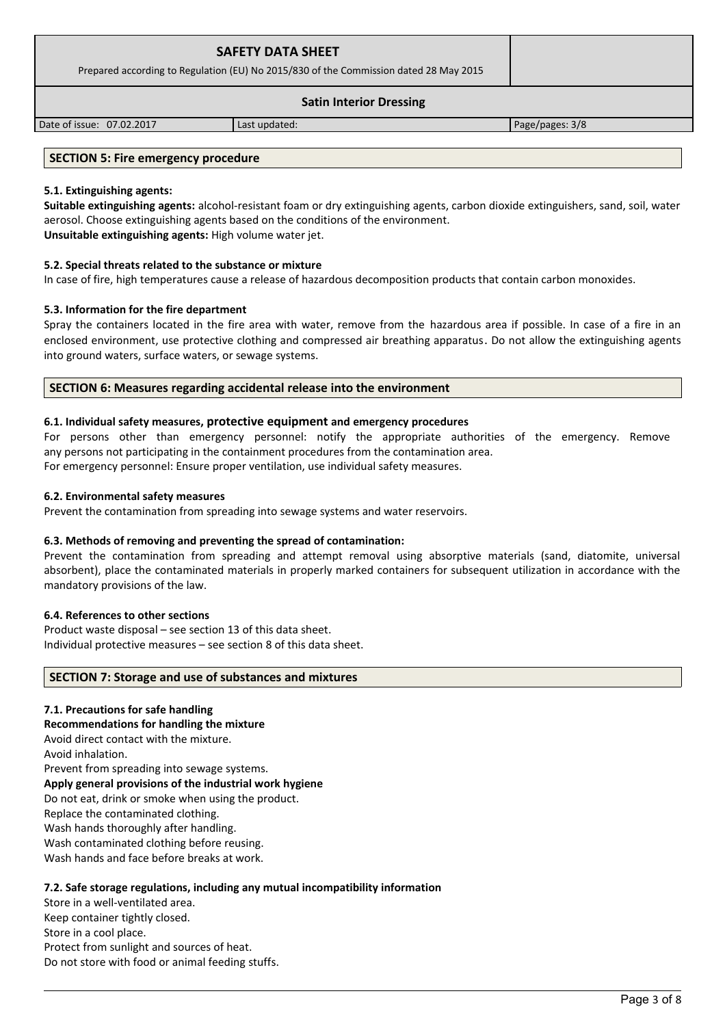| <b>SAFETY DATA SHEET</b><br>Prepared according to Regulation (EU) No 2015/830 of the Commission dated 28 May 2015 |               |                 |
|-------------------------------------------------------------------------------------------------------------------|---------------|-----------------|
| <b>Satin Interior Dressing</b>                                                                                    |               |                 |
| Date of issue: 07.02.2017                                                                                         | Last updated: | Page/pages: 3/8 |

### **SECTION 5: Fire emergency procedure**

### **5.1. Extinguishing agents:**

**Suitable extinguishing agents:** alcohol-resistant foam or dry extinguishing agents, carbon dioxide extinguishers, sand, soil, water aerosol. Choose extinguishing agents based on the conditions of the environment. **Unsuitable extinguishing agents:** High volume water jet.

### **5.2. Special threats related to the substance or mixture**

In case of fire, high temperatures cause a release of hazardous decomposition products that contain carbon monoxides.

### **5.3. Information for the fire department**

Spray the containers located in the fire area with water, remove from the hazardous area if possible. In case of a fire in an enclosed environment, use protective clothing and compressed air breathing apparatus. Do not allow the extinguishing agents into ground waters, surface waters, or sewage systems.

### **SECTION 6: Measures regarding accidental release into the environment**

## **6.1. Individual safety measures, protective equipment and emergency procedures**

For persons other than emergency personnel: notify the appropriate authorities of the emergency. Remove any persons not participating in the containment procedures from the contamination area.

For emergency personnel: Ensure proper ventilation, use individual safety measures.

#### **6.2. Environmental safety measures**

Prevent the contamination from spreading into sewage systems and water reservoirs.

## **6.3. Methods of removing and preventing the spread of contamination:**

Prevent the contamination from spreading and attempt removal using absorptive materials (sand, diatomite, universal absorbent), place the contaminated materials in properly marked containers for subsequent utilization in accordance with the mandatory provisions of the law.

#### **6.4. References to other sections**

Product waste disposal – see section 13 of this data sheet. Individual protective measures – see section 8 of this data sheet.

#### **SECTION 7: Storage and use of substances and mixtures**

#### **7.1. Precautions for safe handling**

**Recommendations for handling the mixture** 

Avoid direct contact with the mixture.

Avoid inhalation.

Prevent from spreading into sewage systems.

# **Apply general provisions of the industrial work hygiene**

Do not eat, drink or smoke when using the product.

Replace the contaminated clothing.

Wash hands thoroughly after handling.

Wash contaminated clothing before reusing.

Wash hands and face before breaks at work.

## **7.2. Safe storage regulations, including any mutual incompatibility information**

Store in a well-ventilated area.

Keep container tightly closed.

Store in a cool place.

Protect from sunlight and sources of heat.

Do not store with food or animal feeding stuffs.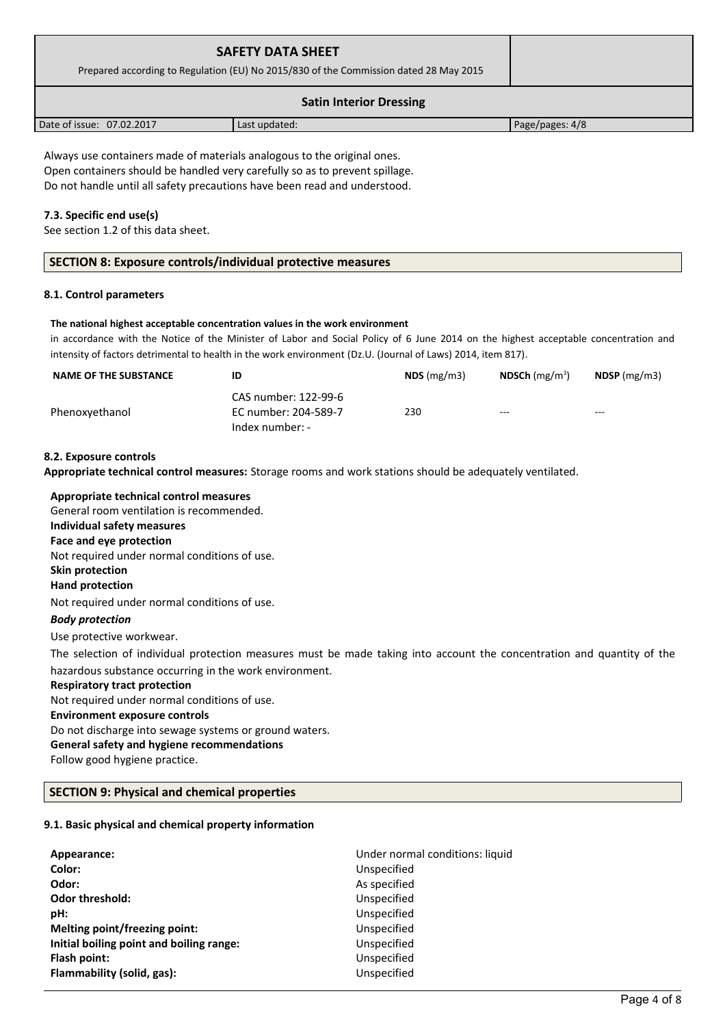| <b>SAFETY DATA SHEET</b><br>Prepared according to Regulation (EU) No 2015/830 of the Commission dated 28 May 2015 |               |                 |
|-------------------------------------------------------------------------------------------------------------------|---------------|-----------------|
| <b>Satin Interior Dressing</b>                                                                                    |               |                 |
| Date of issue: 07.02.2017                                                                                         | Last updated: | Page/pages: 4/8 |

Always use containers made of materials analogous to the original ones. Open containers should be handled very carefully so as to prevent spillage. Do not handle until all safety precautions have been read and understood.

## **7.3. Specific end use(s)**

See section 1.2 of this data sheet.

## **8.1. Control parameters**

## **The national highest acceptable concentration values in the work environment**

in accordance with the Notice of the Minister of Labor and Social Policy of 6 June 2014 on the highest acceptable concentration and intensity of factors detrimental to health in the work environment (Dz.U. (Journal of Laws) 2014, item 817).

| <b>NAME OF THE SUBSTANCE</b> | ID                                                              | $NDS$ (mg/m3) | NDSCh $(mg/m^3)$ | $N$ DSP (mg/m3) |
|------------------------------|-----------------------------------------------------------------|---------------|------------------|-----------------|
| Phenoxyethanol               | CAS number: 122-99-6<br>EC number: 204-589-7<br>Index number: - | 230           | $--$             | $--$            |

## **8.2. Exposure controls**

| Appropriate technical control measures: Storage rooms and work stations should be adequately ventilated.               |
|------------------------------------------------------------------------------------------------------------------------|
| Appropriate technical control measures                                                                                 |
| General room ventilation is recommended.                                                                               |
| Individual safety measures                                                                                             |
| Face and eye protection                                                                                                |
| Not required under normal conditions of use.                                                                           |
| <b>Skin protection</b>                                                                                                 |
| <b>Hand protection</b>                                                                                                 |
| Not required under normal conditions of use.                                                                           |
| <b>Body protection</b>                                                                                                 |
| Use protective workwear.                                                                                               |
| The selection of individual protection measures must be made taking into account the concentration and quantity of the |
| hazardous substance occurring in the work environment.                                                                 |
| <b>Respiratory tract protection</b>                                                                                    |
| Not required under normal conditions of use.                                                                           |
| <b>Environment exposure controls</b>                                                                                   |
| Do not discharge into sewage systems or ground waters.                                                                 |
| General safety and hygiene recommendations                                                                             |
| Follow good hygiene practice.                                                                                          |
| <b>SECTION 9: Physical and chemical properties</b>                                                                     |

## **9.1. Basic physical and chemical property information**

| Appearance:                              | Under normal conditions: liquid |
|------------------------------------------|---------------------------------|
| Color:                                   | Unspecified                     |
| Odor:                                    | As specified                    |
| <b>Odor threshold:</b>                   | Unspecified                     |
| pH:                                      | Unspecified                     |
| Melting point/freezing point:            | Unspecified                     |
| Initial boiling point and boiling range: | Unspecified                     |
| Flash point:                             | Unspecified                     |
| Flammability (solid, gas):               | Unspecified                     |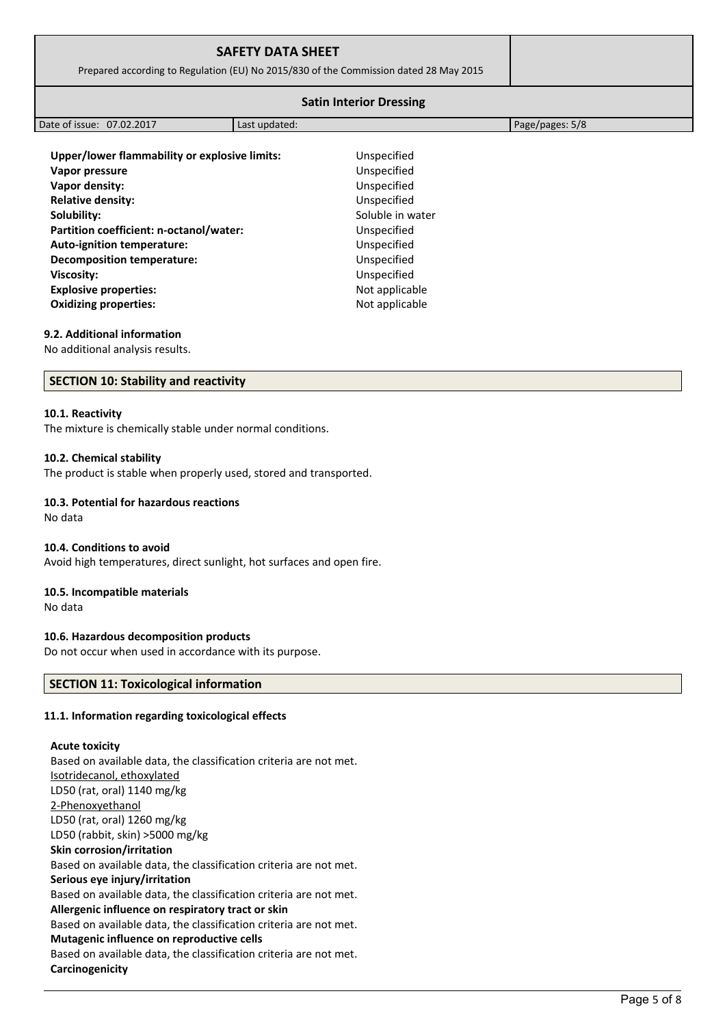| <b>SAFETY DATA SHEET</b><br>Prepared according to Regulation (EU) No 2015/830 of the Commission dated 28 May 2015 |               |                                |                 |
|-------------------------------------------------------------------------------------------------------------------|---------------|--------------------------------|-----------------|
|                                                                                                                   |               | <b>Satin Interior Dressing</b> |                 |
| Date of issue: 07.02.2017                                                                                         | Last updated: |                                | Page/pages: 5/8 |
| Upper/lower flammability or explosive limits:<br>Vapor pressure                                                   |               | Unspecified<br>Unspecified     |                 |
| Vapor density:<br><b>Relative density:</b>                                                                        |               | Unspecified<br>Unspecified     |                 |
| Solubility:                                                                                                       |               | Soluble in water               |                 |
| Partition coefficient: n-octanol/water:<br>Auto-ignition temperature:                                             |               | Unspecified<br>Unspecified     |                 |
| <b>Decomposition temperature:</b>                                                                                 |               | Unspecified                    |                 |

## **9.2. Additional information**

No additional analysis results.

### **SECTION 10: Stability and reactivity**

#### **10.1. Reactivity**

The mixture is chemically stable under normal conditions.

### **10.2. Chemical stability**

The product is stable when properly used, stored and transported.

**Viscosity:** Unspecified **Explosive properties:**  $\blacksquare$  Not applicable **Oxidizing properties:** Not applicable

### **10.3. Potential for hazardous reactions**

No data

#### **10.4. Conditions to avoid**

Avoid high temperatures, direct sunlight, hot surfaces and open fire.

### **10.5. Incompatible materials**

No data

### **10.6. Hazardous decomposition products**

Do not occur when used in accordance with its purpose.

## **SECTION 11: Toxicological information**

## **11.1. Information regarding toxicological effects**

#### **Acute toxicity**

Based on available data, the classification criteria are not met. Isotridecanol, ethoxylated LD50 (rat, oral) 1140 mg/kg 2-Phenoxyethanol LD50 (rat, oral) 1260 mg/kg LD50 (rabbit, skin) >5000 mg/kg **Skin corrosion/irritation** Based on available data, the classification criteria are not met. **Serious eye injury/irritation** Based on available data, the classification criteria are not met. **Allergenic influence on respiratory tract or skin** Based on available data, the classification criteria are not met. **Mutagenic influence on reproductive cells** Based on available data, the classification criteria are not met. **Carcinogenicity**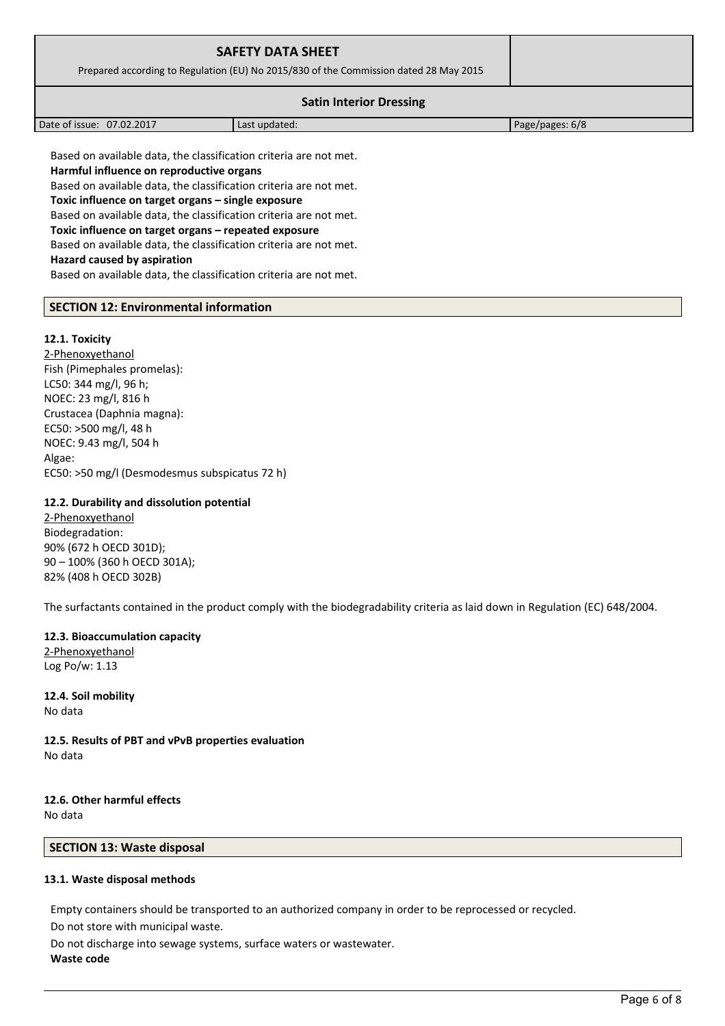| <b>SAFETY DATA SHEET</b><br>Prepared according to Regulation (EU) No 2015/830 of the Commission dated 28 May 2015 |               |                 |  |
|-------------------------------------------------------------------------------------------------------------------|---------------|-----------------|--|
| <b>Satin Interior Dressing</b>                                                                                    |               |                 |  |
| Date of issue: 07.02.2017                                                                                         | Last updated: | Page/pages: 6/8 |  |
| Based on available data, the classification criteria are not met.                                                 |               |                 |  |

**Harmful influence on reproductive organs** Based on available data, the classification criteria are not met. **Toxic influence on target organs – single exposure** Based on available data, the classification criteria are not met. **Toxic influence on target organs – repeated exposure** Based on available data, the classification criteria are not met. **Hazard caused by aspiration** Based on available data, the classification criteria are not met.

## **SECTION 12: Environmental information**

## **12.1. Toxicity**

2-Phenoxyethanol Fish (Pimephales promelas): LC50: 344 mg/l, 96 h; NOEC: 23 mg/l, 816 h Crustacea (Daphnia magna): EC50: >500 mg/l, 48 h NOEC: 9.43 mg/l, 504 h Algae: EC50: >50 mg/l (Desmodesmus subspicatus 72 h)

### **12.2. Durability and dissolution potential**

2-Phenoxyethanol Biodegradation: 90% (672 h OECD 301D); 90 – 100% (360 h OECD 301A); 82% (408 h OECD 302B)

The surfactants contained in the product comply with the biodegradability criteria as laid down in Regulation (EC) 648/2004.

## **12.3. Bioaccumulation capacity**

2-Phenoxyethanol Log Po/w: 1.13

**12.4. Soil mobility** No data

**12.5. Results of PBT and vPvB properties evaluation** No data

## **12.6. Other harmful effects** No data

## **SECTION 13: Waste disposal**

## **13.1. Waste disposal methods**

Empty containers should be transported to an authorized company in order to be reprocessed or recycled.

Do not store with municipal waste.

Do not discharge into sewage systems, surface waters or wastewater. **Waste code**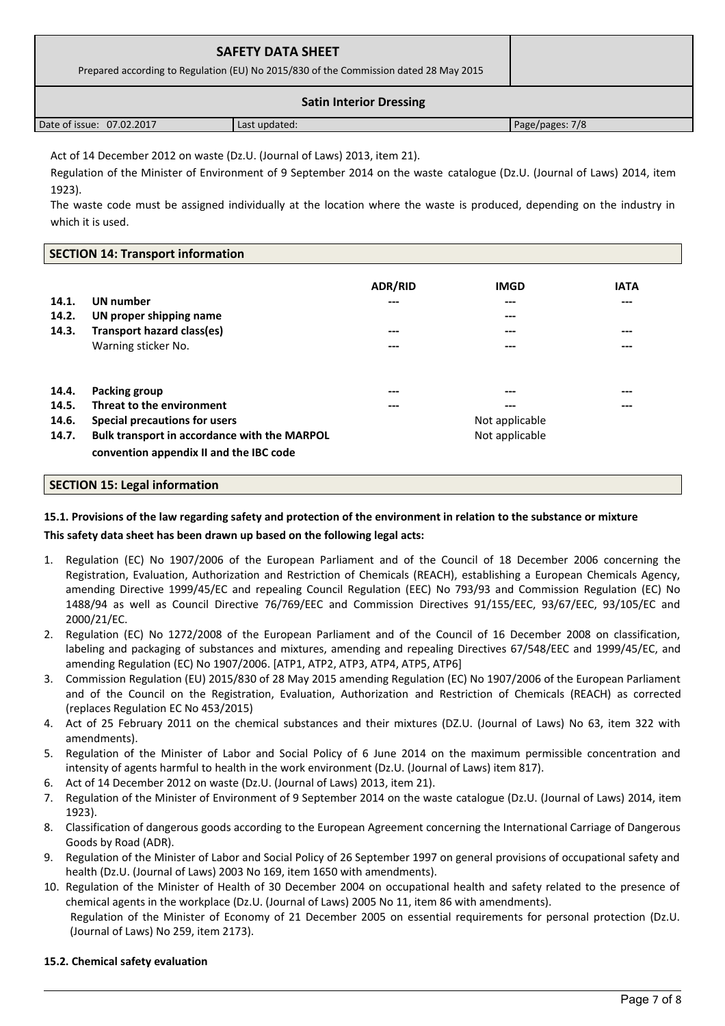| <b>SAFETY DATA SHEET</b><br>Prepared according to Regulation (EU) No 2015/830 of the Commission dated 28 May 2015 |               |                 |  |
|-------------------------------------------------------------------------------------------------------------------|---------------|-----------------|--|
| <b>Satin Interior Dressing</b>                                                                                    |               |                 |  |
| Date of issue: 07.02.2017                                                                                         | Last updated: | Page/pages: 7/8 |  |

Act of 14 December 2012 on waste (Dz.U. (Journal of Laws) 2013, item 21).

Regulation of the Minister of Environment of 9 September 2014 on the waste catalogue (Dz.U. (Journal of Laws) 2014, item 1923).

The waste code must be assigned individually at the location where the waste is produced, depending on the industry in which it is used.

## **SECTION 14: Transport information**

| 14.1.<br>14.2.<br>14.3. | <b>UN</b> number<br>UN proper shipping name<br>Transport hazard class(es)<br>Warning sticker No. | <b>ADR/RID</b><br>---<br>---<br>--- | <b>IMGD</b><br>---<br>---<br>---<br>--- | <b>IATA</b><br>---<br>---<br>--- |
|-------------------------|--------------------------------------------------------------------------------------------------|-------------------------------------|-----------------------------------------|----------------------------------|
| 14.4.                   | Packing group                                                                                    | ---                                 | ---                                     | ---                              |
| 14.5.                   | Threat to the environment                                                                        | ---                                 | ---                                     | ---                              |
| 14.6.                   | Special precautions for users                                                                    |                                     | Not applicable                          |                                  |
| 14.7.                   | Bulk transport in accordance with the MARPOL<br>convention appendix II and the IBC code          |                                     | Not applicable                          |                                  |

## **SECTION 15: Legal information**

## **15.1. Provisions of the law regarding safety and protection of the environment in relation to the substance or mixture**

## **This safety data sheet has been drawn up based on the following legal acts:**

- Regulation (EC) No 1907/2006 of the European Parliament and of the Council of 18 December 2006 concerning the Registration, Evaluation, Authorization and Restriction of Chemicals (REACH), establishing a European Chemicals Agency, amending Directive 1999/45/EC and repealing Council Regulation (EEC) No 793/93 and Commission Regulation (EC) No 1488/94 as well as Council Directive 76/769/EEC and Commission Directives 91/155/EEC, 93/67/EEC, 93/105/EC and 2000/21/EC.
- 2. Regulation (EC) No 1272/2008 of the European Parliament and of the Council of 16 December 2008 on classification, labeling and packaging of substances and mixtures, amending and repealing Directives 67/548/EEC and 1999/45/EC, and amending Regulation (EC) No 1907/2006. [ATP1, ATP2, ATP3, ATP4, ATP5, ATP6]
- 3. Commission Regulation (EU) 2015/830 of 28 May 2015 amending Regulation (EC) No 1907/2006 of the European Parliament and of the Council on the Registration, Evaluation, Authorization and Restriction of Chemicals (REACH) as corrected (replaces Regulation EC No 453/2015)
- 4. Act of 25 February 2011 on the chemical substances and their mixtures (DZ.U. (Journal of Laws) No 63, item 322 with amendments).
- 5. Regulation of the Minister of Labor and Social Policy of 6 June 2014 on the maximum permissible concentration and intensity of agents harmful to health in the work environment (Dz.U. (Journal of Laws) item 817).
- 6. Act of 14 December 2012 on waste (Dz.U. (Journal of Laws) 2013, item 21).
- 7. Regulation of the Minister of Environment of 9 September 2014 on the waste catalogue (Dz.U. (Journal of Laws) 2014, item 1923).
- 8. Classification of dangerous goods according to the European Agreement concerning the International Carriage of Dangerous Goods by Road (ADR).
- 9. Regulation of the Minister of Labor and Social Policy of 26 September 1997 on general provisions of occupational safety and health (Dz.U. (Journal of Laws) 2003 No 169, item 1650 with amendments).
- 10. Regulation of the Minister of Health of 30 December 2004 on occupational health and safety related to the presence of chemical agents in the workplace (Dz.U. (Journal of Laws) 2005 No 11, item 86 with amendments). Regulation of the Minister of Economy of 21 December 2005 on essential requirements for personal protection (Dz.U. (Journal of Laws) No 259, item 2173).

## **15.2. Chemical safety evaluation**